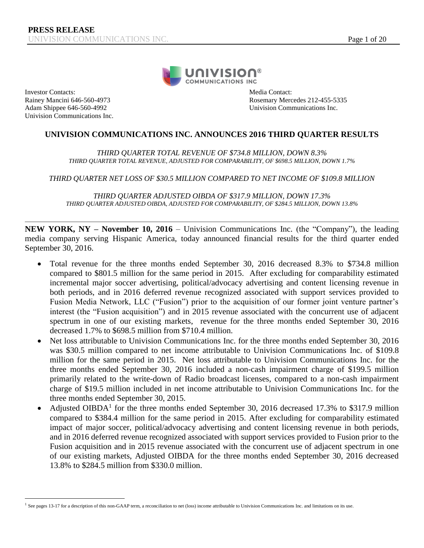

Investor Contacts: Media Contact: Nainey Mancini 646-560-4973 Rosemary Media Contact: Rainey Mancini 646-560-4973 Univision Communications Inc.

 $\overline{a}$ 

Rosemary Mercedes 212-455-5335 Adam Shippee 646-560-4992 Univision Communications Inc.

# **UNIVISION COMMUNICATIONS INC. ANNOUNCES 2016 THIRD QUARTER RESULTS**

*THIRD QUARTER TOTAL REVENUE OF \$734.8 MILLION, DOWN 8.3% THIRD QUARTER TOTAL REVENUE, ADJUSTED FOR COMPARABILITY, OF \$698.5 MILLION, DOWN 1.7%*

*THIRD QUARTER NET LOSS OF \$30.5 MILLION COMPARED TO NET INCOME OF \$109.8 MILLION*

*THIRD QUARTER ADJUSTED OIBDA OF \$317.9 MILLION, DOWN 17.3% THIRD QUARTER ADJUSTED OIBDA, ADJUSTED FOR COMPARABILITY, OF \$284.5 MILLION, DOWN 13.8%*

**NEW YORK, NY – November 10, 2016** – Univision Communications Inc. (the "Company"), the leading media company serving Hispanic America, today announced financial results for the third quarter ended September 30, 2016.

- Total revenue for the three months ended September 30, 2016 decreased 8.3% to \$734.8 million compared to \$801.5 million for the same period in 2015. After excluding for comparability estimated incremental major soccer advertising, political/advocacy advertising and content licensing revenue in both periods, and in 2016 deferred revenue recognized associated with support services provided to Fusion Media Network, LLC ("Fusion") prior to the acquisition of our former joint venture partner's interest (the "Fusion acquisition") and in 2015 revenue associated with the concurrent use of adjacent spectrum in one of our existing markets, revenue for the three months ended September 30, 2016 decreased 1.7% to \$698.5 million from \$710.4 million.
- Net loss attributable to Univision Communications Inc. for the three months ended September 30, 2016 was \$30.5 million compared to net income attributable to Univision Communications Inc. of \$109.8 million for the same period in 2015. Net loss attributable to Univision Communications Inc. for the three months ended September 30, 2016 included a non-cash impairment charge of \$199.5 million primarily related to the write-down of Radio broadcast licenses, compared to a non-cash impairment charge of \$19.5 million included in net income attributable to Univision Communications Inc. for the three months ended September 30, 2015.
- Adjusted OIBDA<sup>1</sup> for the three months ended September 30, 2016 decreased 17.3% to \$317.9 million compared to \$384.4 million for the same period in 2015. After excluding for comparability estimated impact of major soccer, political/advocacy advertising and content licensing revenue in both periods, and in 2016 deferred revenue recognized associated with support services provided to Fusion prior to the Fusion acquisition and in 2015 revenue associated with the concurrent use of adjacent spectrum in one of our existing markets, Adjusted OIBDA for the three months ended September 30, 2016 decreased 13.8% to \$284.5 million from \$330.0 million.

<sup>&</sup>lt;sup>1</sup> See pages 13-17 for a description of this non-GAAP term, a reconciliation to net (loss) income attributable to Univision Communications Inc. and limitations on its use.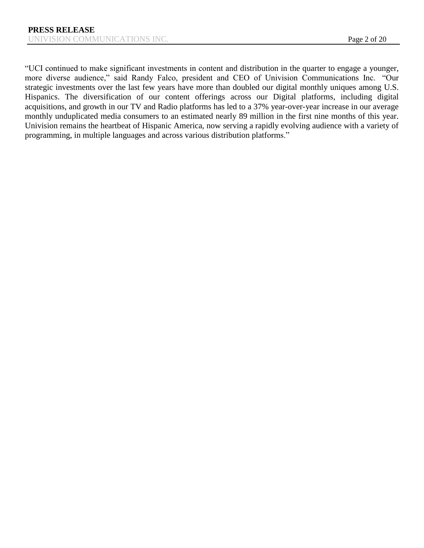"UCI continued to make significant investments in content and distribution in the quarter to engage a younger, more diverse audience," said Randy Falco, president and CEO of Univision Communications Inc. "Our strategic investments over the last few years have more than doubled our digital monthly uniques among U.S. Hispanics. The diversification of our content offerings across our Digital platforms, including digital acquisitions, and growth in our TV and Radio platforms has led to a 37% year-over-year increase in our average monthly unduplicated media consumers to an estimated nearly 89 million in the first nine months of this year. Univision remains the heartbeat of Hispanic America, now serving a rapidly evolving audience with a variety of programming, in multiple languages and across various distribution platforms."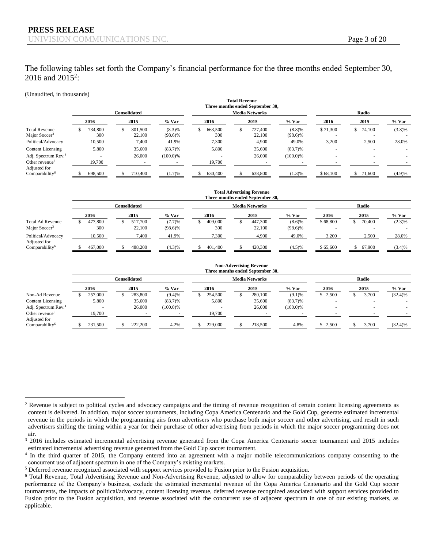### The following tables set forth the Company's financial performance for the three months ended September 30, 2016 and  $2015^2$ :

#### (Unaudited, in thousands)

 $\overline{a}$ 

|                                                   |              | TULAI INCYCHUC<br>Three months ended September 30, |  |                   |                         |    |                |                       |                   |                      |          |              |         |  |  |
|---------------------------------------------------|--------------|----------------------------------------------------|--|-------------------|-------------------------|----|----------------|-----------------------|-------------------|----------------------|----------|--------------|---------|--|--|
|                                                   | Consolidated |                                                    |  |                   |                         |    |                | <b>Media Networks</b> | Radio             |                      |          |              |         |  |  |
|                                                   |              | 2016                                               |  | 2015              | $%$ Var                 |    | 2016           |                       | 2015              | $%$ Var              | 2016     | 2015         | $%$ Var |  |  |
| <b>Total Revenue</b><br>Major Soccer <sup>3</sup> |              | 734.800<br>300                                     |  | 801,500<br>22,100 | $(8.3)\%$<br>$(98.6)\%$ | \$ | 663,500<br>300 |                       | 727,400<br>22,100 | (8.8)%<br>$(98.6)\%$ | \$71,300 | 74,100<br>S. | (3.8)%  |  |  |
| Political/Advocacy                                |              | 10,500                                             |  | 7,400             | 41.9%                   |    | 7,300          |                       | 4,900             | 49.0%                | 3,200    | 2,500        | 28.0%   |  |  |
| Content Licensing                                 |              | 5,800                                              |  | 35,600            | $(83.7)\%$              |    | 5,800          |                       | 35,600            | $(83.7)\%$           |          |              |         |  |  |
| Adj. Spectrum Rev. <sup>4</sup>                   |              |                                                    |  | 26,000            | (100.0)%                |    | $\overline{a}$ |                       | 26,000            | $(100.0)\%$          |          |              |         |  |  |
| Other revenue <sup>5</sup><br>Adjusted for        |              | 19,700                                             |  |                   |                         |    | 19,700         |                       |                   |                      |          |              |         |  |  |
| Comparability <sup>6</sup>                        |              | 698,500                                            |  | 710,400           | (1.7)%                  |    | 630,400        |                       | 638,800           | 1.3)%                | \$68,100 | 71,600       | (4.9)%  |  |  |

**Total Revenue**

|                                            | Three months ended September 30. |              |            |         |                       |            |          |              |        |  |  |  |  |  |  |
|--------------------------------------------|----------------------------------|--------------|------------|---------|-----------------------|------------|----------|--------------|--------|--|--|--|--|--|--|
|                                            |                                  | Consolidated |            |         | <b>Media Networks</b> | Radio      |          |              |        |  |  |  |  |  |  |
|                                            | 2016                             | 2015         | $%$ Var    | 2016    | 2015                  | % Var      | 2016     | 2015         | % Var  |  |  |  |  |  |  |
| <b>Total Ad Revenue</b>                    | 477,800                          | 517.700      | (7.7)%     | 409,000 | 447,300               | $(8.6)$ %  | \$68,800 | 70,400       | (2.3)% |  |  |  |  |  |  |
| Major Soccer <sup>3</sup>                  | 300                              | 22,100       | $(98.6)\%$ | 300     | 22,100                | $(98.6)\%$ |          |              |        |  |  |  |  |  |  |
| Political/Advocacy                         | 10,500                           | 7,400        | 41.9%      | 7.300   | 4,900                 | 49.0%      | 3,200    | 2,500        | 28.0%  |  |  |  |  |  |  |
| Adjusted for<br>Comparability <sup>6</sup> | 467,000                          | 488,200      | (4.3)%     | 401,400 | 420,300               | (4.5)%     | \$65,600 | 67,900<br>S. | (3.4)% |  |  |  |  |  |  |

#### **Non-Advertising Revenue Three months ended September 30,**

**Total Advertising Revenue**

|                                 | Consolidated |  |         |            |         | <b>Media Networks</b> | Radio       |         |  |       |            |
|---------------------------------|--------------|--|---------|------------|---------|-----------------------|-------------|---------|--|-------|------------|
|                                 | 2016         |  | 2015    | % Var      | 2016    | 2015                  | % Var       | 2016    |  | 2015  | % Var      |
| Non-Ad Revenue                  | 257,000      |  | 283,800 | (9.4)%     | 254,500 | 280,100               | (9.1)%      | \$2,500 |  | 3.700 | $(32.4)\%$ |
| Content Licensing               | 5,800        |  | 35,600  | $(83.7)\%$ | 5,800   | 35,600                | $(83.7)\%$  |         |  |       |            |
| Adj. Spectrum Rev. <sup>4</sup> |              |  | 26,000  | (100.0)%   |         | 26,000                | $(100.0)\%$ |         |  |       |            |
| Other revenue <sup>5</sup>      | 19,700       |  |         |            | 19,700  |                       |             |         |  |       |            |
| Adjusted for                    |              |  |         |            |         |                       |             |         |  |       |            |
| Comparability <sup>6</sup>      | 231.500      |  | 222,200 | 4.2%       | 229,000 | 218,500               | 4.8%        | \$2,500 |  | 3,700 | (32.4)%    |

 $2$  Revenue is subject to political cycles and advocacy campaigns and the timing of revenue recognition of certain content licensing agreements as content is delivered. In addition, major soccer tournaments, including Copa America Centenario and the Gold Cup, generate estimated incremental revenue in the periods in which the programming airs from advertisers who purchase both major soccer and other advertising, and result in such advertisers shifting the timing within a year for their purchase of other advertising from periods in which the major soccer programming does not air.

<sup>&</sup>lt;sup>3</sup> 2016 includes estimated incremental advertising revenue generated from the Copa America Centenario soccer tournament and 2015 includes estimated incremental advertising revenue generated from the Gold Cup soccer tournament.

<sup>&</sup>lt;sup>4</sup> In the third quarter of 2015, the Company entered into an agreement with a major mobile telecommunications company consenting to the concurrent use of adjacent spectrum in one of the Company's existing markets.

<sup>5</sup> Deferred revenue recognized associated with support services provided to Fusion prior to the Fusion acquisition.

<sup>6</sup> Total Revenue, Total Advertising Revenue and Non-Advertising Revenue, adjusted to allow for comparability between periods of the operating performance of the Company's business, exclude the estimated incremental revenue of the Copa America Centenario and the Gold Cup soccer tournaments, the impacts of political/advocacy, content licensing revenue, deferred revenue recognized associated with support services provided to Fusion prior to the Fusion acquisition, and revenue associated with the concurrent use of adjacent spectrum in one of our existing markets, as applicable.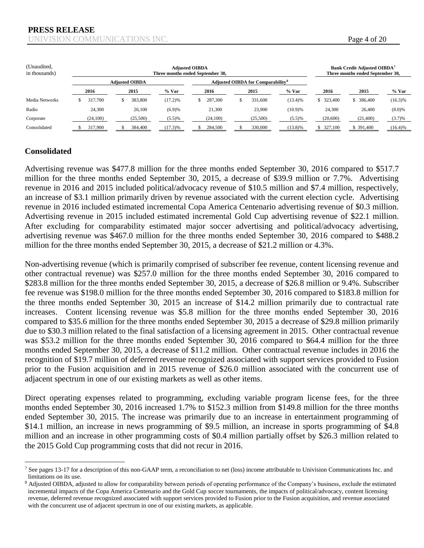| (Unaudited,<br>in thousands) |          | Three months ended September 30, |            | Bank Credit Adjusted OIBDA <sup>7</sup><br>Three months ended September 30, |                                                     |            |            |            |            |
|------------------------------|----------|----------------------------------|------------|-----------------------------------------------------------------------------|-----------------------------------------------------|------------|------------|------------|------------|
|                              |          | <b>Adiusted OIBDA</b>            |            |                                                                             | <b>Adjusted OIBDA for Comparability<sup>8</sup></b> |            |            |            |            |
|                              | 2016     | 2015                             | % Var      | 2016                                                                        | 2015                                                | $%$ Var    | 2016       | 2015       | % Var      |
| Media Networks               | 317,700  | 383,800                          | (17.2)%    | 287.300                                                                     | 331,600                                             | $(13.4)\%$ | \$ 323,400 | \$ 386,400 | $(16.3)\%$ |
| Radio                        | 24,300   | 26,100                           | (6.9)%     | 21,300                                                                      | 23,900                                              | (10.9)%    | 24,300     | 26,400     | (8.0)%     |
| Corporate                    | (24,100) | (25,500)                         | (5.5)%     | (24,100)                                                                    | (25,500)                                            | (5.5)%     | (20,600)   | (21, 400)  | (3.7)%     |
| Consolidated                 | 317,900  | 384,400                          | $(17.3)\%$ | 284,500                                                                     | 330,000                                             | $(13.8)\%$ | \$327,100  | \$ 391,400 | $(16.4)\%$ |

### **Consolidated**

 $\overline{a}$ 

Advertising revenue was \$477.8 million for the three months ended September 30, 2016 compared to \$517.7 million for the three months ended September 30, 2015, a decrease of \$39.9 million or 7.7%. Advertising revenue in 2016 and 2015 included political/advocacy revenue of \$10.5 million and \$7.4 million, respectively, an increase of \$3.1 million primarily driven by revenue associated with the current election cycle. Advertising revenue in 2016 included estimated incremental Copa America Centenario advertising revenue of \$0.3 million. Advertising revenue in 2015 included estimated incremental Gold Cup advertising revenue of \$22.1 million. After excluding for comparability estimated major soccer advertising and political/advocacy advertising, advertising revenue was \$467.0 million for the three months ended September 30, 2016 compared to \$488.2 million for the three months ended September 30, 2015, a decrease of \$21.2 million or 4.3%.

Non-advertising revenue (which is primarily comprised of subscriber fee revenue, content licensing revenue and other contractual revenue) was \$257.0 million for the three months ended September 30, 2016 compared to \$283.8 million for the three months ended September 30, 2015, a decrease of \$26.8 million or 9.4%. Subscriber fee revenue was \$198.0 million for the three months ended September 30, 2016 compared to \$183.8 million for the three months ended September 30, 2015 an increase of \$14.2 million primarily due to contractual rate increases. Content licensing revenue was \$5.8 million for the three months ended September 30, 2016 compared to \$35.6 million for the three months ended September 30, 2015 a decrease of \$29.8 million primarily due to \$30.3 million related to the final satisfaction of a licensing agreement in 2015. Other contractual revenue was \$53.2 million for the three months ended September 30, 2016 compared to \$64.4 million for the three months ended September 30, 2015, a decrease of \$11.2 million. Other contractual revenue includes in 2016 the recognition of \$19.7 million of deferred revenue recognized associated with support services provided to Fusion prior to the Fusion acquisition and in 2015 revenue of \$26.0 million associated with the concurrent use of adjacent spectrum in one of our existing markets as well as other items.

Direct operating expenses related to programming, excluding variable program license fees, for the three months ended September 30, 2016 increased 1.7% to \$152.3 million from \$149.8 million for the three months ended September 30, 2015. The increase was primarily due to an increase in entertainment programming of \$14.1 million, an increase in news programming of \$9.5 million, an increase in sports programming of \$4.8 million and an increase in other programming costs of \$0.4 million partially offset by \$26.3 million related to the 2015 Gold Cup programming costs that did not recur in 2016.

<sup>&</sup>lt;sup>7</sup> See pages 13-17 for a description of this non-GAAP term, a reconciliation to net (loss) income attributable to Univision Communications Inc. and limitations on its use.

<sup>&</sup>lt;sup>8</sup> Adjusted OIBDA, adjusted to allow for comparability between periods of operating performance of the Company's business, exclude the estimated incremental impacts of the Copa America Centenario and the Gold Cup soccer tournaments, the impacts of political/advocacy, content licensing revenue, deferred revenue recognized associated with support services provided to Fusion prior to the Fusion acquisition, and revenue associated with the concurrent use of adjacent spectrum in one of our existing markets, as applicable.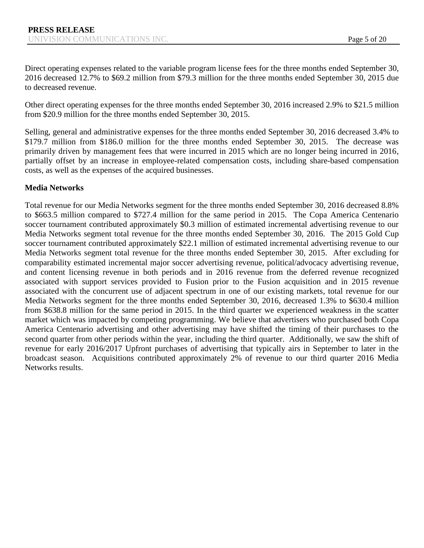Direct operating expenses related to the variable program license fees for the three months ended September 30, 2016 decreased 12.7% to \$69.2 million from \$79.3 million for the three months ended September 30, 2015 due to decreased revenue.

Other direct operating expenses for the three months ended September 30, 2016 increased 2.9% to \$21.5 million from \$20.9 million for the three months ended September 30, 2015.

Selling, general and administrative expenses for the three months ended September 30, 2016 decreased 3.4% to \$179.7 million from \$186.0 million for the three months ended September 30, 2015. The decrease was primarily driven by management fees that were incurred in 2015 which are no longer being incurred in 2016, partially offset by an increase in employee-related compensation costs, including share-based compensation costs, as well as the expenses of the acquired businesses.

### **Media Networks**

Total revenue for our Media Networks segment for the three months ended September 30, 2016 decreased 8.8% to \$663.5 million compared to \$727.4 million for the same period in 2015. The Copa America Centenario soccer tournament contributed approximately \$0.3 million of estimated incremental advertising revenue to our Media Networks segment total revenue for the three months ended September 30, 2016. The 2015 Gold Cup soccer tournament contributed approximately \$22.1 million of estimated incremental advertising revenue to our Media Networks segment total revenue for the three months ended September 30, 2015. After excluding for comparability estimated incremental major soccer advertising revenue, political/advocacy advertising revenue, and content licensing revenue in both periods and in 2016 revenue from the deferred revenue recognized associated with support services provided to Fusion prior to the Fusion acquisition and in 2015 revenue associated with the concurrent use of adjacent spectrum in one of our existing markets, total revenue for our Media Networks segment for the three months ended September 30, 2016, decreased 1.3% to \$630.4 million from \$638.8 million for the same period in 2015. In the third quarter we experienced weakness in the scatter market which was impacted by competing programming. We believe that advertisers who purchased both Copa America Centenario advertising and other advertising may have shifted the timing of their purchases to the second quarter from other periods within the year, including the third quarter. Additionally, we saw the shift of revenue for early 2016/2017 Upfront purchases of advertising that typically airs in September to later in the broadcast season. Acquisitions contributed approximately 2% of revenue to our third quarter 2016 Media Networks results.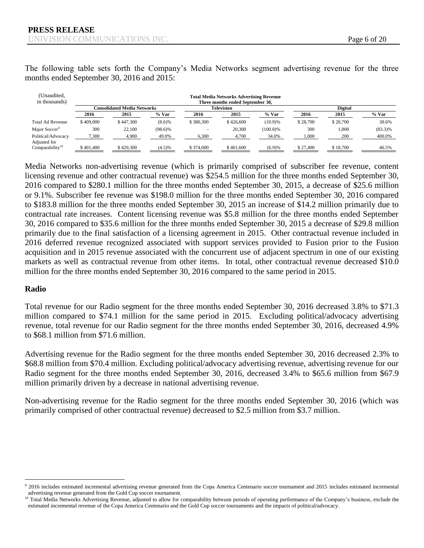The following table sets forth the Company's Media Networks segment advertising revenue for the three months ended September 30, 2016 and 2015:

| (Unaudited,<br>in thousands)                |           |                                    |            |           | <b>Total Media Networks Advertising Revenue</b><br>Three months ended September 30. |          |          |          |            |  |  |  |  |
|---------------------------------------------|-----------|------------------------------------|------------|-----------|-------------------------------------------------------------------------------------|----------|----------|----------|------------|--|--|--|--|
|                                             |           | <b>Consolidated Media Networks</b> |            |           | <b>Digital</b>                                                                      |          |          |          |            |  |  |  |  |
|                                             | 2016      | 2015                               | % Var      | 2016      | 2015                                                                                | $%$ Var  | 2016     | 2015     | $%$ Var    |  |  |  |  |
| Total Ad Revenue                            | \$409,000 | \$447,300                          | $(8.6)$ %  | \$380,300 | \$426,600                                                                           | (10.9)%  | \$28,700 | \$20,700 | 38.6%      |  |  |  |  |
| Major Soccer <sup>9</sup>                   | 300       | 22.100                             | $(98.6)\%$ | ۰         | 20,300                                                                              | (100.0)% | 300      | 1,800    | $(83.3)\%$ |  |  |  |  |
| Political/Advocacy                          | 7,300     | 4,900                              | 49.0%      | 6.300     | 4.700                                                                               | 34.0%    | .000     | 200      | 400.0%     |  |  |  |  |
| Adjusted for<br>Comparability <sup>10</sup> | \$401,400 | \$420,300                          | (4.5)%     | \$374,000 | \$401,600                                                                           | (6.9)%   | \$27,400 | \$18,700 | 46.5%      |  |  |  |  |

Media Networks non-advertising revenue (which is primarily comprised of subscriber fee revenue, content licensing revenue and other contractual revenue) was \$254.5 million for the three months ended September 30, 2016 compared to \$280.1 million for the three months ended September 30, 2015, a decrease of \$25.6 million or 9.1%. Subscriber fee revenue was \$198.0 million for the three months ended September 30, 2016 compared to \$183.8 million for the three months ended September 30, 2015 an increase of \$14.2 million primarily due to contractual rate increases. Content licensing revenue was \$5.8 million for the three months ended September 30, 2016 compared to \$35.6 million for the three months ended September 30, 2015 a decrease of \$29.8 million primarily due to the final satisfaction of a licensing agreement in 2015. Other contractual revenue included in 2016 deferred revenue recognized associated with support services provided to Fusion prior to the Fusion acquisition and in 2015 revenue associated with the concurrent use of adjacent spectrum in one of our existing markets as well as contractual revenue from other items. In total, other contractual revenue decreased \$10.0 million for the three months ended September 30, 2016 compared to the same period in 2015.

### **Radio**

 $\overline{a}$ 

Total revenue for our Radio segment for the three months ended September 30, 2016 decreased 3.8% to \$71.3 million compared to \$74.1 million for the same period in 2015. Excluding political/advocacy advertising revenue, total revenue for our Radio segment for the three months ended September 30, 2016, decreased 4.9% to \$68.1 million from \$71.6 million.

Advertising revenue for the Radio segment for the three months ended September 30, 2016 decreased 2.3% to \$68.8 million from \$70.4 million. Excluding political/advocacy advertising revenue, advertising revenue for our Radio segment for the three months ended September 30, 2016, decreased 3.4% to \$65.6 million from \$67.9 million primarily driven by a decrease in national advertising revenue.

Non-advertising revenue for the Radio segment for the three months ended September 30, 2016 (which was primarily comprised of other contractual revenue) decreased to \$2.5 million from \$3.7 million.

<sup>&</sup>lt;sup>9</sup> 2016 includes estimated incremental advertising revenue generated from the Copa America Centenario soccer tournament and 2015 includes estimated incremental advertising revenue generated from the Gold Cup soccer tournament.

<sup>&</sup>lt;sup>10</sup> Total Media Networks Advertising Revenue, adjusted to allow for comparability between periods of operating performance of the Company's business, exclude the estimated incremental revenue of the Copa America Centenario and the Gold Cup soccer tournaments and the impacts of political/advocacy.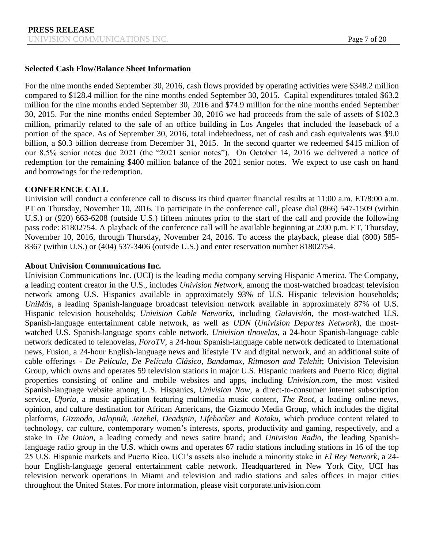### **Selected Cash Flow/Balance Sheet Information**

For the nine months ended September 30, 2016, cash flows provided by operating activities were \$348.2 million compared to \$128.4 million for the nine months ended September 30, 2015. Capital expenditures totaled \$63.2 million for the nine months ended September 30, 2016 and \$74.9 million for the nine months ended September 30, 2015. For the nine months ended September 30, 2016 we had proceeds from the sale of assets of \$102.3 million, primarily related to the sale of an office building in Los Angeles that included the leaseback of a portion of the space. As of September 30, 2016, total indebtedness, net of cash and cash equivalents was \$9.0 billion, a \$0.3 billion decrease from December 31, 2015. In the second quarter we redeemed \$415 million of our 8.5% senior notes due 2021 (the "2021 senior notes"). On October 14, 2016 we delivered a notice of redemption for the remaining \$400 million balance of the 2021 senior notes. We expect to use cash on hand and borrowings for the redemption.

### **CONFERENCE CALL**

Univision will conduct a conference call to discuss its third quarter financial results at 11:00 a.m. ET/8:00 a.m. PT on Thursday, November 10, 2016. To participate in the conference call, please dial (866) 547-1509 (within U.S.) or (920) 663-6208 (outside U.S.) fifteen minutes prior to the start of the call and provide the following pass code: 81802754. A playback of the conference call will be available beginning at 2:00 p.m. ET, Thursday, November 10, 2016, through Thursday, November 24, 2016. To access the playback, please dial (800) 585- 8367 (within U.S.) or (404) 537-3406 (outside U.S.) and enter reservation number 81802754.

### **About Univision Communications Inc.**

Univision Communications Inc. (UCI) is the leading media company serving Hispanic America. The Company, a leading content creator in the U.S., includes *Univision Network*, among the most-watched broadcast television network among U.S. Hispanics available in approximately 93% of U.S. Hispanic television households; *UniMás*, a leading Spanish-language broadcast television network available in approximately 87% of U.S. Hispanic television households; *Univision Cable Networks*, including *Galavisión*, the most-watched U.S. Spanish-language entertainment cable network, as well as *UDN* (*Univision Deportes Network*), the mostwatched U.S. Spanish-language sports cable network, *Univision tlnovelas*, a 24-hour Spanish-language cable network dedicated to telenovelas, *ForoTV*, a 24-hour Spanish-language cable network dedicated to international news, Fusion, a 24-hour English-language news and lifestyle TV and digital network, and an additional suite of cable offerings - *De Película, De Película Clásico, Bandamax, Ritmoson and Telehit*; Univision Television Group, which owns and operates 59 television stations in major U.S. Hispanic markets and Puerto Rico; digital properties consisting of online and mobile websites and apps, including *Univision.com*, the most visited Spanish-language website among U.S. Hispanics, *Univision Now*, a direct-to-consumer internet subscription service, *Uforia*, a music application featuring multimedia music content, *The Root*, a leading online news, opinion, and culture destination for African Americans, the Gizmodo Media Group, which includes the digital platforms, *Gizmodo*, *Jalopnik*, *Jezebel*, *Deadspin*, *Lifehacker* and *Kotaku*, which produce content related to technology, car culture, contemporary women's interests, sports, productivity and gaming, respectively, and a stake in *The Onion*, a leading comedy and news satire brand; and *Univision Radio*, the leading Spanishlanguage radio group in the U.S. which owns and operates 67 radio stations including stations in 16 of the top 25 U.S. Hispanic markets and Puerto Rico. UCI's assets also include a minority stake in *El Rey Network*, a 24 hour English-language general entertainment cable network. Headquartered in New York City, UCI has television network operations in Miami and television and radio stations and sales offices in major cities throughout the United States. For more information, please visit corporate.univision.com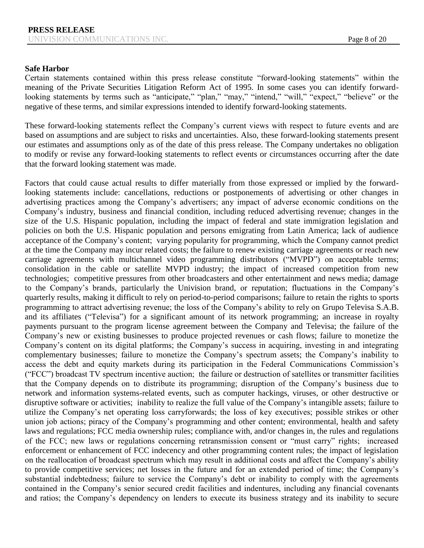#### **Safe Harbor**

Certain statements contained within this press release constitute "forward-looking statements" within the meaning of the Private Securities Litigation Reform Act of 1995. In some cases you can identify forwardlooking statements by terms such as "anticipate," "plan," "may," "intend," "will," "expect," "believe" or the negative of these terms, and similar expressions intended to identify forward-looking statements.

These forward-looking statements reflect the Company's current views with respect to future events and are based on assumptions and are subject to risks and uncertainties. Also, these forward-looking statements present our estimates and assumptions only as of the date of this press release. The Company undertakes no obligation to modify or revise any forward-looking statements to reflect events or circumstances occurring after the date that the forward looking statement was made.

Factors that could cause actual results to differ materially from those expressed or implied by the forwardlooking statements include: cancellations, reductions or postponements of advertising or other changes in advertising practices among the Company's advertisers; any impact of adverse economic conditions on the Company's industry, business and financial condition, including reduced advertising revenue; changes in the size of the U.S. Hispanic population, including the impact of federal and state immigration legislation and policies on both the U.S. Hispanic population and persons emigrating from Latin America; lack of audience acceptance of the Company's content; varying popularity for programming, which the Company cannot predict at the time the Company may incur related costs; the failure to renew existing carriage agreements or reach new carriage agreements with multichannel video programming distributors ("MVPD") on acceptable terms; consolidation in the cable or satellite MVPD industry; the impact of increased competition from new technologies; competitive pressures from other broadcasters and other entertainment and news media; damage to the Company's brands, particularly the Univision brand, or reputation; fluctuations in the Company's quarterly results, making it difficult to rely on period-to-period comparisons; failure to retain the rights to sports programming to attract advertising revenue; the loss of the Company's ability to rely on Grupo Televisa S.A.B. and its affiliates ("Televisa") for a significant amount of its network programming; an increase in royalty payments pursuant to the program license agreement between the Company and Televisa; the failure of the Company's new or existing businesses to produce projected revenues or cash flows; failure to monetize the Company's content on its digital platforms; the Company's success in acquiring, investing in and integrating complementary businesses; failure to monetize the Company's spectrum assets; the Company's inability to access the debt and equity markets during its participation in the Federal Communications Commission's ("FCC") broadcast TV spectrum incentive auction; the failure or destruction of satellites or transmitter facilities that the Company depends on to distribute its programming; disruption of the Company's business due to network and information systems-related events, such as computer hackings, viruses, or other destructive or disruptive software or activities; inability to realize the full value of the Company's intangible assets; failure to utilize the Company's net operating loss carryforwards; the loss of key executives; possible strikes or other union job actions; piracy of the Company's programming and other content; environmental, health and safety laws and regulations; FCC media ownership rules; compliance with, and/or changes in, the rules and regulations of the FCC; new laws or regulations concerning retransmission consent or "must carry" rights; increased enforcement or enhancement of FCC indecency and other programming content rules; the impact of legislation on the reallocation of broadcast spectrum which may result in additional costs and affect the Company's ability to provide competitive services; net losses in the future and for an extended period of time; the Company's substantial indebtedness; failure to service the Company's debt or inability to comply with the agreements contained in the Company's senior secured credit facilities and indentures, including any financial covenants and ratios; the Company's dependency on lenders to execute its business strategy and its inability to secure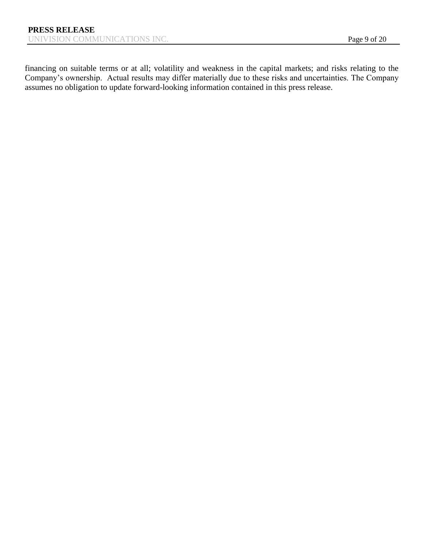financing on suitable terms or at all; volatility and weakness in the capital markets; and risks relating to the Company's ownership. Actual results may differ materially due to these risks and uncertainties. The Company assumes no obligation to update forward-looking information contained in this press release.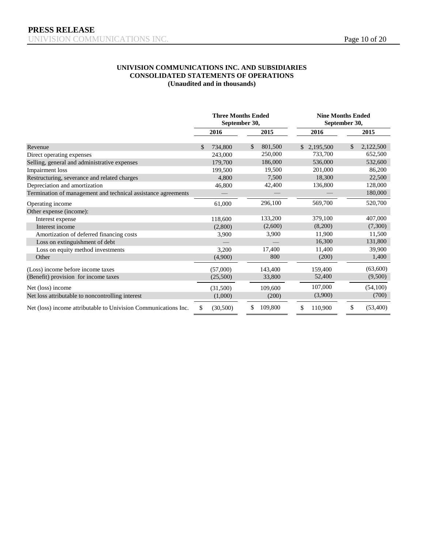#### **UNIVISION COMMUNICATIONS INC. AND SUBSIDIARIES CONSOLIDATED STATEMENTS OF OPERATIONS (Unaudited and in thousands)**

|                                                                 |                         | <b>Three Months Ended</b><br>September 30, |                 | <b>Nine Months Ended</b><br>September 30, |
|-----------------------------------------------------------------|-------------------------|--------------------------------------------|-----------------|-------------------------------------------|
|                                                                 | 2016                    | 2015                                       | 2016            | 2015                                      |
| Revenue                                                         | 734,800<br>$\mathbb{S}$ | \$<br>801,500                              | 2,195,500<br>\$ | 2,122,500<br>\$                           |
| Direct operating expenses                                       | 243,000                 | 250,000                                    | 733,700         | 652,500                                   |
| Selling, general and administrative expenses                    | 179,700                 | 186,000                                    | 536,000         | 532,600                                   |
| Impairment loss                                                 | 199,500                 | 19,500                                     | 201,000         | 86,200                                    |
| Restructuring, severance and related charges                    | 4,800                   | 7,500                                      | 18,300          | 22,500                                    |
| Depreciation and amortization                                   | 46,800                  | 42,400                                     | 136,800         | 128,000                                   |
| Termination of management and technical assistance agreements   |                         |                                            |                 | 180,000                                   |
| Operating income                                                | 61,000                  | 296,100                                    | 569,700         | 520,700                                   |
| Other expense (income):                                         |                         |                                            |                 |                                           |
| Interest expense                                                | 118,600                 | 133,200                                    | 379,100         | 407,000                                   |
| Interest income                                                 | (2,800)                 | (2,600)                                    | (8,200)         | (7,300)                                   |
| Amortization of deferred financing costs                        | 3,900                   | 3,900                                      | 11,900          | 11,500                                    |
| Loss on extinguishment of debt                                  |                         |                                            | 16,300          | 131,800                                   |
| Loss on equity method investments                               | 3,200                   | 17,400                                     | 11.400          | 39,900                                    |
| Other                                                           | (4,900)                 | 800                                        | (200)           | 1,400                                     |
| (Loss) income before income taxes                               | (57,000)                | 143,400                                    | 159,400         | (63,600)                                  |
| (Benefit) provision for income taxes                            | (25,500)                | 33,800                                     | 52,400          | (9,500)                                   |
| Net (loss) income                                               | (31,500)<br>109,600     |                                            | 107,000         | (54,100)                                  |
| Net loss attributable to noncontrolling interest                | (1,000)<br>(200)        |                                            | (3,900)         | (700)                                     |
| Net (loss) income attributable to Univision Communications Inc. | \$<br>(30,500)          | \$<br>109,800                              | 110,900<br>\$   | \$<br>(53,400)                            |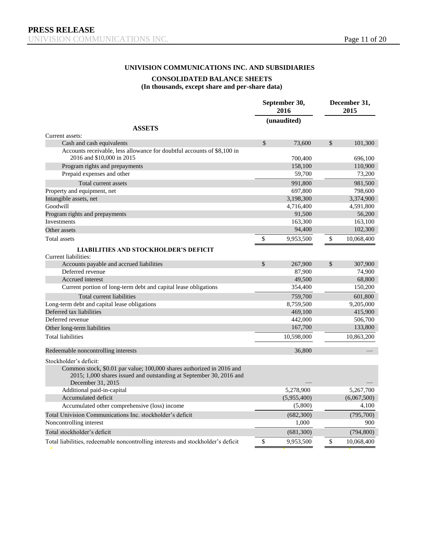#### **UNIVISION COMMUNICATIONS INC. AND SUBSIDIARIES**

#### **CONSOLIDATED BALANCE SHEETS**

#### **(In thousands, except share and per-share data)**

|                                                                                                                                                                   | September 30,<br>2016 | December 31,<br>2015 |             |  |
|-------------------------------------------------------------------------------------------------------------------------------------------------------------------|-----------------------|----------------------|-------------|--|
|                                                                                                                                                                   | (unaudited)           |                      |             |  |
| <b>ASSETS</b>                                                                                                                                                     |                       |                      |             |  |
| Current assets:<br>Cash and cash equivalents                                                                                                                      | \$<br>73,600          | \$                   | 101,300     |  |
| Accounts receivable, less allowance for doubtful accounts of \$8,100 in                                                                                           |                       |                      |             |  |
| 2016 and \$10,000 in 2015                                                                                                                                         | 700,400               |                      | 696,100     |  |
| Program rights and prepayments                                                                                                                                    | 158,100               |                      | 110,900     |  |
| Prepaid expenses and other                                                                                                                                        | 59,700                |                      | 73,200      |  |
| Total current assets                                                                                                                                              | 991,800               |                      | 981,500     |  |
| Property and equipment, net                                                                                                                                       | 697,800               |                      | 798,600     |  |
| Intangible assets, net                                                                                                                                            | 3,198,300             |                      | 3,374,900   |  |
| Goodwill                                                                                                                                                          | 4,716,400             |                      | 4,591,800   |  |
| Program rights and prepayments                                                                                                                                    | 91,500                |                      | 56,200      |  |
| Investments                                                                                                                                                       | 163,300               |                      | 163,100     |  |
| Other assets                                                                                                                                                      | 94,400                |                      | 102,300     |  |
| Total assets                                                                                                                                                      | \$<br>9,953,500       | \$                   | 10,068,400  |  |
| <b>LIABILITIES AND STOCKHOLDER'S DEFICIT</b>                                                                                                                      |                       |                      |             |  |
| Current liabilities:                                                                                                                                              |                       |                      |             |  |
| Accounts payable and accrued liabilities                                                                                                                          | \$<br>267,900         | \$                   | 307,900     |  |
| Deferred revenue                                                                                                                                                  | 87,900                |                      | 74,900      |  |
| Accrued interest                                                                                                                                                  | 49,500                |                      | 68,800      |  |
| Current portion of long-term debt and capital lease obligations                                                                                                   | 354,400               |                      | 150,200     |  |
| Total current liabilities                                                                                                                                         | 759,700               |                      | 601,800     |  |
| Long-term debt and capital lease obligations                                                                                                                      | 8,759,500             |                      | 9,205,000   |  |
| Deferred tax liabilities                                                                                                                                          | 469,100               |                      | 415,900     |  |
| Deferred revenue                                                                                                                                                  | 442,000               |                      | 506,700     |  |
| Other long-term liabilities                                                                                                                                       | 167,700               |                      | 133,800     |  |
| <b>Total liabilities</b>                                                                                                                                          | 10,598,000            |                      | 10,863,200  |  |
| Redeemable noncontrolling interests                                                                                                                               | 36,800                |                      |             |  |
| Stockholder's deficit:                                                                                                                                            |                       |                      |             |  |
| Common stock, \$0.01 par value; 100,000 shares authorized in 2016 and<br>2015; 1,000 shares issued and outstanding at September 30, 2016 and<br>December 31, 2015 |                       |                      |             |  |
| Additional paid-in-capital                                                                                                                                        | 5,278,900             |                      | 5,267,700   |  |
| Accumulated deficit                                                                                                                                               | (5,955,400)           |                      | (6,067,500) |  |
| Accumulated other comprehensive (loss) income                                                                                                                     | (5,800)               |                      | 4,100       |  |
| Total Univision Communications Inc. stockholder's deficit                                                                                                         | (682, 300)            |                      | (795,700)   |  |
| Noncontrolling interest                                                                                                                                           | 1,000                 |                      | 900         |  |
| Total stockholder's deficit                                                                                                                                       |                       |                      |             |  |
|                                                                                                                                                                   | (681,300)             |                      | (794, 800)  |  |
| Total liabilities, redeemable noncontrolling interests and stockholder's deficit                                                                                  | \$<br>9,953,500       | \$                   | 10,068,400  |  |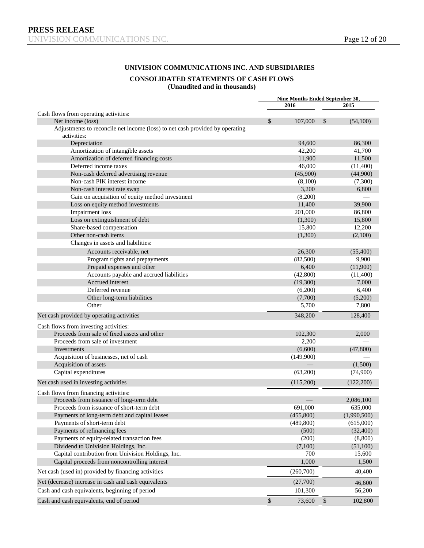#### **UNIVISION COMMUNICATIONS INC. AND SUBSIDIARIES**

#### **CONSOLIDATED STATEMENTS OF CASH FLOWS**

**(Unaudited and in thousands)** 

|                                                                                             |      | Nine Months Ended September 30,<br>2016 |              | 2015        |
|---------------------------------------------------------------------------------------------|------|-----------------------------------------|--------------|-------------|
| Cash flows from operating activities:                                                       |      |                                         |              |             |
| Net income (loss)                                                                           | \$   | 107,000                                 | $\mathbb{S}$ | (54,100)    |
| Adjustments to reconcile net income (loss) to net cash provided by operating<br>activities: |      |                                         |              |             |
| Depreciation                                                                                |      | 94,600                                  |              | 86,300      |
| Amortization of intangible assets                                                           |      | 42,200                                  |              | 41,700      |
| Amortization of deferred financing costs                                                    |      | 11,900                                  |              | 11,500      |
| Deferred income taxes                                                                       |      | 46,000                                  |              | (11,400)    |
| Non-cash deferred advertising revenue                                                       |      | (45,900)                                |              | (44,900)    |
| Non-cash PIK interest income                                                                |      | (8,100)                                 |              | (7,300)     |
| Non-cash interest rate swap                                                                 |      | 3,200                                   |              | 6,800       |
| Gain on acquisition of equity method investment                                             |      | (8,200)                                 |              |             |
| Loss on equity method investments                                                           |      | 11,400                                  |              | 39,900      |
| <b>Impairment</b> loss                                                                      |      | 201,000                                 |              | 86,800      |
| Loss on extinguishment of debt                                                              |      | (1,300)                                 |              | 15,800      |
| Share-based compensation                                                                    |      | 15,800                                  |              | 12,200      |
| Other non-cash items                                                                        |      | (1,300)                                 |              | (2,100)     |
| Changes in assets and liabilities:                                                          |      |                                         |              |             |
| Accounts receivable, net                                                                    |      | 26,300                                  |              | (55,400)    |
| Program rights and prepayments                                                              |      | (82,500)                                |              | 9,900       |
| Prepaid expenses and other                                                                  |      | 6,400                                   |              | (11,900)    |
| Accounts payable and accrued liabilities                                                    |      | (42, 800)                               |              | (11,400)    |
| Accrued interest                                                                            |      | (19,300)                                |              | 7,000       |
| Deferred revenue                                                                            |      | (6,200)                                 |              | 6,400       |
| Other long-term liabilities                                                                 |      | (7,700)                                 |              | (5,200)     |
| Other                                                                                       |      | 5,700                                   |              | 7,800       |
| Net cash provided by operating activities                                                   |      | 348,200                                 |              | 128,400     |
| Cash flows from investing activities:                                                       |      |                                         |              |             |
| Proceeds from sale of fixed assets and other                                                |      | 102,300                                 |              | 2,000       |
| Proceeds from sale of investment                                                            |      | 2,200                                   |              |             |
| Investments                                                                                 |      | (6,600)                                 |              | (47, 800)   |
| Acquisition of businesses, net of cash                                                      |      | (149,900)                               |              |             |
| Acquisition of assets                                                                       |      |                                         |              | (1,500)     |
| Capital expenditures                                                                        |      | (63,200)                                |              | (74,900)    |
| Net cash used in investing activities                                                       |      | (115,200)                               |              | (122,200)   |
|                                                                                             |      |                                         |              |             |
| Cash flows from financing activities:                                                       |      |                                         |              | 2,086,100   |
| Proceeds from issuance of long-term debt<br>Proceeds from issuance of short-term debt       |      | 691,000                                 |              | 635,000     |
| Payments of long-term debt and capital leases                                               |      | (455,800)                               |              | (1,990,500) |
| Payments of short-term debt                                                                 |      | (489, 800)                              |              | (615,000)   |
| Payments of refinancing fees                                                                |      | (500)                                   |              | (32, 400)   |
| Payments of equity-related transaction fees                                                 |      | (200)                                   |              | (8,800)     |
| Dividend to Univision Holdings, Inc.                                                        |      |                                         |              |             |
| Capital contribution from Univision Holdings, Inc.                                          |      | (7,100)<br>700                          |              | (51,100)    |
|                                                                                             |      |                                         |              | 15,600      |
| Capital proceeds from noncontrolling interest                                               |      | 1,000                                   |              | 1,500       |
| Net cash (used in) provided by financing activities                                         |      | (260,700)                               |              | 40,400      |
| Net (decrease) increase in cash and cash equivalents                                        |      | (27,700)                                |              | 46,600      |
| Cash and cash equivalents, beginning of period                                              |      | 101,300                                 |              | 56,200      |
| Cash and cash equivalents, end of period                                                    | $\$$ | 73,600                                  | $\$$         | 102,800     |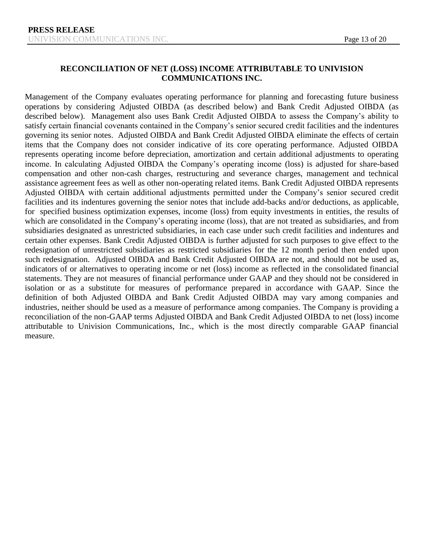# **RECONCILIATION OF NET (LOSS) INCOME ATTRIBUTABLE TO UNIVISION COMMUNICATIONS INC.**

Management of the Company evaluates operating performance for planning and forecasting future business operations by considering Adjusted OIBDA (as described below) and Bank Credit Adjusted OIBDA (as described below). Management also uses Bank Credit Adjusted OIBDA to assess the Company's ability to satisfy certain financial covenants contained in the Company's senior secured credit facilities and the indentures governing its senior notes. Adjusted OIBDA and Bank Credit Adjusted OIBDA eliminate the effects of certain items that the Company does not consider indicative of its core operating performance. Adjusted OIBDA represents operating income before depreciation, amortization and certain additional adjustments to operating income. In calculating Adjusted OIBDA the Company's operating income (loss) is adjusted for share-based compensation and other non-cash charges, restructuring and severance charges, management and technical assistance agreement fees as well as other non-operating related items. Bank Credit Adjusted OIBDA represents Adjusted OIBDA with certain additional adjustments permitted under the Company's senior secured credit facilities and its indentures governing the senior notes that include add-backs and/or deductions, as applicable, for specified business optimization expenses, income (loss) from equity investments in entities, the results of which are consolidated in the Company's operating income (loss), that are not treated as subsidiaries, and from subsidiaries designated as unrestricted subsidiaries, in each case under such credit facilities and indentures and certain other expenses. Bank Credit Adjusted OIBDA is further adjusted for such purposes to give effect to the redesignation of unrestricted subsidiaries as restricted subsidiaries for the 12 month period then ended upon such redesignation. Adjusted OIBDA and Bank Credit Adjusted OIBDA are not, and should not be used as, indicators of or alternatives to operating income or net (loss) income as reflected in the consolidated financial statements. They are not measures of financial performance under GAAP and they should not be considered in isolation or as a substitute for measures of performance prepared in accordance with GAAP. Since the definition of both Adjusted OIBDA and Bank Credit Adjusted OIBDA may vary among companies and industries, neither should be used as a measure of performance among companies. The Company is providing a reconciliation of the non-GAAP terms Adjusted OIBDA and Bank Credit Adjusted OIBDA to net (loss) income attributable to Univision Communications, Inc., which is the most directly comparable GAAP financial measure.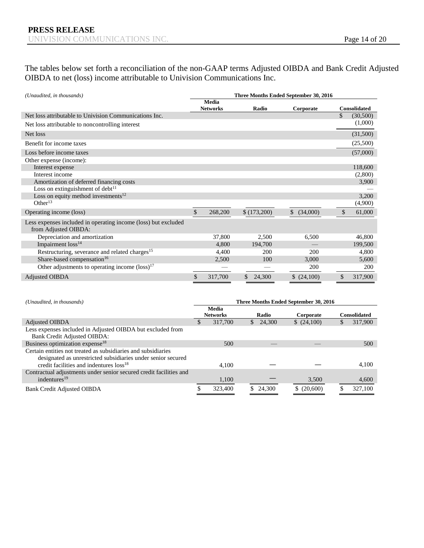The tables below set forth a reconciliation of the non-GAAP terms Adjusted OIBDA and Bank Credit Adjusted OIBDA to net (loss) income attributable to Univision Communications Inc.

| (Unaudited, in thousands)                                                              | Three Months Ended September 30, 2016 |                                 |    |             |             |    |                     |  |
|----------------------------------------------------------------------------------------|---------------------------------------|---------------------------------|----|-------------|-------------|----|---------------------|--|
|                                                                                        |                                       | <b>Media</b><br><b>Networks</b> |    | Radio       | Corporate   |    | <b>Consolidated</b> |  |
| Net loss attributable to Univision Communications Inc.                                 |                                       |                                 |    |             |             | \$ | (30,500)            |  |
| Net loss attributable to noncontrolling interest                                       |                                       |                                 |    |             |             |    | (1,000)             |  |
| Net loss                                                                               |                                       |                                 |    |             |             |    | (31,500)            |  |
| Benefit for income taxes                                                               |                                       |                                 |    |             |             |    | (25,500)            |  |
| Loss before income taxes                                                               |                                       |                                 |    |             |             |    | (57,000)            |  |
| Other expense (income):                                                                |                                       |                                 |    |             |             |    |                     |  |
| Interest expense                                                                       |                                       |                                 |    |             |             |    | 118,600             |  |
| Interest income                                                                        |                                       |                                 |    |             |             |    | (2,800)             |  |
| Amortization of deferred financing costs                                               |                                       |                                 |    |             |             |    | 3,900               |  |
| Loss on extinguishment of debt $11$                                                    |                                       |                                 |    |             |             |    |                     |  |
| Loss on equity method investments $12$                                                 |                                       |                                 |    |             |             |    | 3,200               |  |
| Other $13$                                                                             |                                       |                                 |    |             |             |    | (4,900)             |  |
| Operating income (loss)                                                                | \$                                    | 268,200                         |    | \$(173,200) | \$ (34,000) | \$ | 61,000              |  |
| Less expenses included in operating income (loss) but excluded<br>from Adjusted OIBDA: |                                       |                                 |    |             |             |    |                     |  |
| Depreciation and amortization                                                          |                                       | 37,800                          |    | 2,500       | 6,500       |    | 46,800              |  |
| Impairment loss <sup>14</sup>                                                          |                                       | 4.800                           |    | 194,700     |             |    | 199,500             |  |
| Restructuring, severance and related charges <sup>15</sup>                             |                                       | 4,400                           |    | 200         | 200         |    | 4,800               |  |
| Share-based compensation <sup>16</sup>                                                 |                                       | 2,500                           |    | 100         | 3,000       |    | 5,600               |  |
| Other adjustments to operating income $(\text{loss})^{17}$                             |                                       |                                 |    |             | 200         |    | 200                 |  |
| <b>Adjusted OIBDA</b>                                                                  | \$                                    | 317,700                         | \$ | 24,300      | (24,100)    | \$ | 317,900             |  |

| (Unaudited, in thousands)                                                                                                                                                            | Three Months Ended September 30, 2016 |                          |  |          |             |  |                     |  |  |
|--------------------------------------------------------------------------------------------------------------------------------------------------------------------------------------|---------------------------------------|--------------------------|--|----------|-------------|--|---------------------|--|--|
|                                                                                                                                                                                      |                                       | Media<br><b>Networks</b> |  | Radio    | Corporate   |  | <b>Consolidated</b> |  |  |
| <b>Adjusted OIBDA</b>                                                                                                                                                                |                                       | 317,700                  |  | \$24,300 | (24,100)    |  | 317,900             |  |  |
| Less expenses included in Adjusted OIBDA but excluded from<br>Bank Credit Adjusted OIBDA:                                                                                            |                                       |                          |  |          |             |  |                     |  |  |
| Business optimization expense <sup>18</sup>                                                                                                                                          |                                       | 500                      |  |          |             |  | 500                 |  |  |
| Certain entities not treated as subsidiaries and subsidiaries<br>designated as unrestricted subsidiaries under senior secured<br>credit facilities and indentures loss <sup>18</sup> |                                       | 4.100                    |  |          |             |  | 4.100               |  |  |
| Contractual adjustments under senior secured credit facilities and<br>indentures $19$                                                                                                |                                       | 1,100                    |  |          | 3,500       |  | 4,600               |  |  |
| Bank Credit Adjusted OIBDA                                                                                                                                                           |                                       | 323,400                  |  | \$24,300 | \$ (20,600) |  | 327,100             |  |  |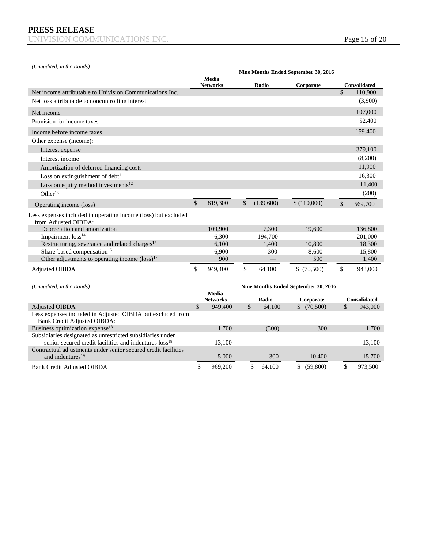*(Unaudited, in thousands)*

|                                                                                                |               |                 |              |              | Nine Months Ended September 30, 2016 |               |                                |
|------------------------------------------------------------------------------------------------|---------------|-----------------|--------------|--------------|--------------------------------------|---------------|--------------------------------|
|                                                                                                |               | Media           |              |              |                                      |               |                                |
| Net income attributable to Univision Communications Inc.                                       |               | <b>Networks</b> |              | Radio        | Corporate                            | $\mathcal{S}$ | <b>Consolidated</b><br>110,900 |
| Net loss attributable to noncontrolling interest                                               |               |                 |              |              |                                      |               | (3,900)                        |
|                                                                                                |               |                 |              |              |                                      |               |                                |
| Net income                                                                                     |               |                 |              |              |                                      |               | 107,000                        |
| Provision for income taxes                                                                     |               |                 |              |              |                                      |               | 52,400                         |
| Income before income taxes                                                                     |               |                 |              |              |                                      |               | 159,400                        |
| Other expense (income):                                                                        |               |                 |              |              |                                      |               |                                |
| Interest expense                                                                               |               |                 |              |              |                                      |               | 379,100                        |
| Interest income                                                                                |               |                 |              |              |                                      |               | (8,200)                        |
| Amortization of deferred financing costs                                                       |               |                 |              |              |                                      |               | 11,900                         |
| Loss on extinguishment of $debt^{11}$                                                          |               |                 |              |              |                                      |               | 16,300                         |
| Loss on equity method investments $12$                                                         |               |                 |              |              |                                      |               | 11,400                         |
| Other $13$                                                                                     |               |                 |              |              |                                      |               | (200)                          |
| Operating income (loss)                                                                        | \$            | 819,300         | \$           | (139,600)    | \$(110,000)                          | \$            | 569,700                        |
| Less expenses included in operating income (loss) but excluded<br>from Adiusted OIBDA:         |               |                 |              |              |                                      |               |                                |
| Depreciation and amortization                                                                  |               | 109,900         |              | 7,300        | 19,600                               |               | 136,800                        |
| Impairment loss <sup>14</sup>                                                                  |               | 6,300           |              | 194,700      |                                      |               | 201,000                        |
| Restructuring, severance and related charges <sup>15</sup>                                     |               | 6,100           |              | 1.400        | 10.800                               |               | 18,300                         |
| Share-based compensation <sup>16</sup>                                                         |               | 6,900           |              | 300          | 8,600                                |               | 15,800                         |
| Other adjustments to operating income $(\text{loss})^{17}$                                     |               | 900             |              |              | 500                                  |               | 1,400                          |
| <b>Adjusted OIBDA</b>                                                                          | \$            | 949,400         | \$           | 64,100       | \$(70,500)                           | \$            | 943,000                        |
| (Unaudited, in thousands)                                                                      |               |                 |              |              | Nine Months Ended September 30, 2016 |               |                                |
|                                                                                                |               | Media           |              |              |                                      |               |                                |
|                                                                                                |               | <b>Networks</b> |              | Radio        | Corporate                            |               | Consolidated                   |
| <b>Adjusted OIBDA</b>                                                                          | $\mathcal{S}$ | 949,400         | $\mathbb{S}$ | 64.100       | \$ (70.500)                          | $\mathcal{S}$ | 943,000                        |
| Less expenses included in Adjusted OIBDA but excluded from<br>Bank Credit Adjusted OIBDA:      |               |                 |              |              |                                      |               |                                |
| Business optimization expense <sup>18</sup>                                                    |               | 1,700           |              | (300)        | 300                                  |               | 1,700                          |
| Subsidiaries designated as unrestricted subsidiaries under                                     |               |                 |              |              |                                      |               |                                |
| senior secured credit facilities and indentures loss <sup>18</sup>                             |               | 13,100          |              |              |                                      |               | 13,100                         |
| Contractual adjustments under senior secured credit facilities<br>and indentures <sup>19</sup> |               | 5,000           |              | 300          | 10,400                               |               | 15,700                         |
| <b>Bank Credit Adjusted OIBDA</b>                                                              | \$            | 969,200         |              | \$<br>64,100 | \$<br>(59,800)                       | \$            | 973,500                        |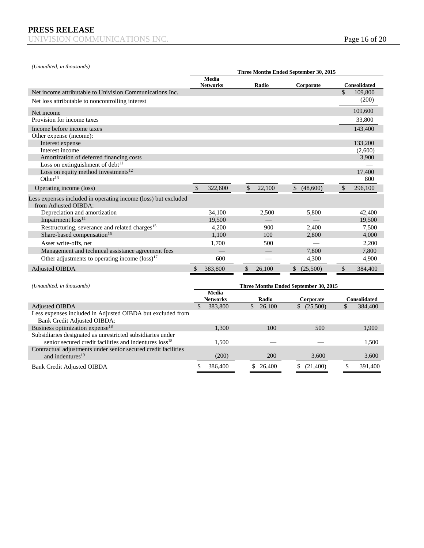*(Unaudited, in thousands)*

|                                                                                                                                  | Three Months Ended September 30, 2015 |                            |    |                                 |    |                                       |               |                         |  |  |
|----------------------------------------------------------------------------------------------------------------------------------|---------------------------------------|----------------------------|----|---------------------------------|----|---------------------------------------|---------------|-------------------------|--|--|
|                                                                                                                                  |                                       | Media<br><b>Networks</b>   |    | Radio                           |    | Corporate                             |               | Consolidated            |  |  |
| Net income attributable to Univision Communications Inc.                                                                         |                                       |                            |    |                                 |    |                                       | $\mathcal{S}$ | 109,800                 |  |  |
| Net loss attributable to noncontrolling interest                                                                                 |                                       |                            |    |                                 |    |                                       |               | (200)                   |  |  |
| Net income                                                                                                                       |                                       |                            |    |                                 |    |                                       |               | 109,600                 |  |  |
| Provision for income taxes                                                                                                       |                                       |                            |    |                                 |    |                                       |               | 33,800                  |  |  |
| Income before income taxes                                                                                                       |                                       |                            |    |                                 |    |                                       |               | 143,400                 |  |  |
| Other expense (income):                                                                                                          |                                       |                            |    |                                 |    |                                       |               |                         |  |  |
| Interest expense                                                                                                                 |                                       |                            |    |                                 |    |                                       |               | 133,200                 |  |  |
| Interest income                                                                                                                  |                                       |                            |    |                                 |    |                                       |               | (2,600)                 |  |  |
| Amortization of deferred financing costs                                                                                         |                                       |                            |    |                                 |    |                                       |               | 3,900                   |  |  |
| Loss on extinguishment of debt <sup>11</sup>                                                                                     |                                       |                            |    |                                 |    |                                       |               |                         |  |  |
| Loss on equity method investments $12$                                                                                           |                                       |                            |    |                                 |    |                                       |               | 17,400                  |  |  |
| Other $13$                                                                                                                       |                                       |                            |    |                                 |    |                                       |               | 800                     |  |  |
| Operating income (loss)                                                                                                          | \$                                    | 322,600                    | \$ | 22,100                          | \$ | (48,600)                              | \$            | 296,100                 |  |  |
| Less expenses included in operating income (loss) but excluded<br>from Adjusted OIBDA:                                           |                                       |                            |    |                                 |    |                                       |               |                         |  |  |
| Depreciation and amortization                                                                                                    |                                       | 34,100                     |    | 2,500                           |    | 5,800                                 |               | 42,400                  |  |  |
| Impairment loss <sup>14</sup>                                                                                                    |                                       | 19.500                     |    |                                 |    |                                       |               | 19,500                  |  |  |
| Restructuring, severance and related charges <sup>15</sup>                                                                       |                                       | 4,200                      |    | 900                             |    | 2,400                                 |               | 7,500                   |  |  |
| Share-based compensation <sup>16</sup>                                                                                           |                                       | 1,100                      |    | 100                             |    | 2,800                                 |               | 4,000                   |  |  |
| Asset write-offs, net                                                                                                            |                                       | 1,700                      |    | 500                             |    |                                       |               | 2,200                   |  |  |
| Management and technical assistance agreement fees                                                                               |                                       |                            |    |                                 |    | 7.800                                 |               | 7,800                   |  |  |
| Other adjustments to operating income $(\text{loss})^{17}$                                                                       |                                       | 600                        |    |                                 |    | 4,300                                 |               | 4,900                   |  |  |
| <b>Adjusted OIBDA</b>                                                                                                            | \$                                    | 383,800                    | \$ | 26,100                          |    | \$ (25,500)                           | \$            | 384,400                 |  |  |
|                                                                                                                                  |                                       |                            |    |                                 |    |                                       |               |                         |  |  |
| (Unaudited, in thousands)                                                                                                        |                                       |                            |    |                                 |    | Three Months Ended September 30, 2015 |               |                         |  |  |
|                                                                                                                                  |                                       | <b>Media</b>               |    |                                 |    |                                       |               |                         |  |  |
|                                                                                                                                  | $\mathcal{S}$                         | <b>Networks</b><br>383,800 |    | Radio<br>$\mathbb{S}$<br>26,100 |    | Corporate<br>\$ (25,500)              | $\mathcal{S}$ | Consolidated<br>384,400 |  |  |
| <b>Adjusted OIBDA</b><br>Less expenses included in Adjusted OIBDA but excluded from                                              |                                       |                            |    |                                 |    |                                       |               |                         |  |  |
| Bank Credit Adjusted OIBDA:                                                                                                      |                                       |                            |    |                                 |    |                                       |               |                         |  |  |
| Business optimization expense <sup>18</sup>                                                                                      |                                       | 1,300                      |    | 100                             |    | 500                                   |               | 1,900                   |  |  |
| Subsidiaries designated as unrestricted subsidiaries under<br>senior secured credit facilities and indentures loss <sup>18</sup> |                                       | 1,500                      |    |                                 |    |                                       |               | 1,500                   |  |  |
| Contractual adjustments under senior secured credit facilities<br>and indentures <sup>19</sup>                                   |                                       | (200)                      |    | 200                             |    | 3,600                                 |               | 3,600                   |  |  |
| <b>Bank Credit Adjusted OIBDA</b>                                                                                                | \$                                    | 386,400                    |    | \$26,400                        |    | \$<br>(21,400)                        | \$            | 391,400                 |  |  |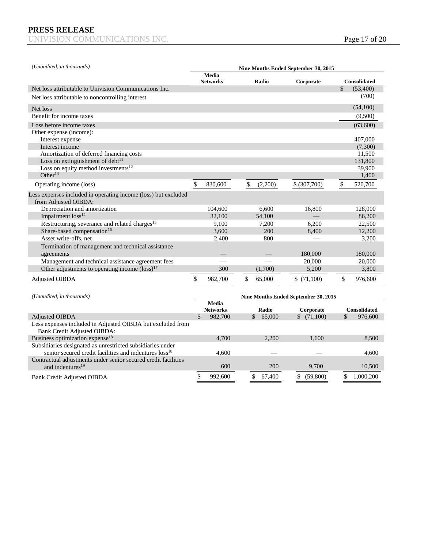| (Unaudited, in thousands)                                                              | Nine Months Ended September 30, 2015 |                                 |    |               |  |              |  |    |                     |
|----------------------------------------------------------------------------------------|--------------------------------------|---------------------------------|----|---------------|--|--------------|--|----|---------------------|
|                                                                                        |                                      | <b>Media</b><br><b>Networks</b> |    | Radio         |  | Corporate    |  |    | <b>Consolidated</b> |
| Net loss attributable to Univision Communications Inc.                                 |                                      |                                 |    |               |  |              |  | \$ | (53,400)            |
| Net loss attributable to noncontrolling interest                                       |                                      |                                 |    |               |  |              |  |    | (700)               |
| Net loss                                                                               |                                      |                                 |    |               |  |              |  |    | (54,100)            |
| Benefit for income taxes                                                               |                                      |                                 |    |               |  |              |  |    | (9,500)             |
| Loss before income taxes                                                               |                                      |                                 |    |               |  |              |  |    | (63,600)            |
| Other expense (income):                                                                |                                      |                                 |    |               |  |              |  |    |                     |
| Interest expense                                                                       |                                      |                                 |    |               |  |              |  |    | 407,000             |
| Interest income                                                                        |                                      |                                 |    |               |  |              |  |    | (7,300)             |
| Amortization of deferred financing costs                                               |                                      |                                 |    |               |  |              |  |    | 11,500              |
| Loss on extinguishment of debt $11$                                                    |                                      |                                 |    |               |  |              |  |    | 131,800             |
| Loss on equity method investments <sup>12</sup>                                        |                                      |                                 |    |               |  |              |  |    | 39,900              |
| Other $^{13}$                                                                          |                                      |                                 |    |               |  |              |  |    | 1,400               |
| Operating income (loss)                                                                | \$                                   | 830,600                         |    | \$<br>(2,200) |  | \$ (307,700) |  | \$ | 520,700             |
| Less expenses included in operating income (loss) but excluded<br>from Adjusted OIBDA: |                                      |                                 |    |               |  |              |  |    |                     |
| Depreciation and amortization                                                          |                                      | 104,600                         |    | 6.600         |  | 16,800       |  |    | 128,000             |
| Impairment loss <sup>14</sup>                                                          |                                      | 32.100                          |    | 54.100        |  |              |  |    | 86,200              |
| Restructuring, severance and related charges <sup>15</sup>                             |                                      | 9,100                           |    | 7,200         |  | 6,200        |  |    | 22,500              |
| Share-based compensation <sup>16</sup>                                                 |                                      | 3,600                           |    | 200           |  | 8,400        |  |    | 12,200              |
| Asset write-offs, net                                                                  |                                      | 2,400                           |    | 800           |  |              |  |    | 3,200               |
| Termination of management and technical assistance<br>agreements                       |                                      |                                 |    |               |  | 180,000      |  |    | 180,000             |
| Management and technical assistance agreement fees                                     |                                      |                                 |    |               |  | 20,000       |  |    | 20,000              |
| Other adjustments to operating income $(\text{loss})^{17}$                             |                                      | 300                             |    | (1,700)       |  | 5,200        |  |    | 3,800               |
| Adjusted OIBDA                                                                         | \$                                   | 982,700                         | \$ | 65,000        |  | \$(71,100)   |  | \$ | 976,600             |

| (Unaudited, in thousands)                                                                                                 | Nine Months Ended September 30, 2015 |                                 |    |          |    |            |   |                     |  |
|---------------------------------------------------------------------------------------------------------------------------|--------------------------------------|---------------------------------|----|----------|----|------------|---|---------------------|--|
|                                                                                                                           |                                      | <b>Media</b><br><b>Networks</b> |    | Radio    |    | Corporate  |   | <b>Consolidated</b> |  |
| <b>Adjusted OIBDA</b>                                                                                                     |                                      | 982,700                         |    | \$65,000 |    | \$(71,100) | S | 976,600             |  |
| Less expenses included in Adjusted OIBDA but excluded from<br>Bank Credit Adjusted OIBDA:                                 |                                      |                                 |    |          |    |            |   |                     |  |
| Business optimization expense <sup>18</sup>                                                                               |                                      | 4,700                           |    | 2.200    |    | 1.600      |   | 8,500               |  |
| Subsidiaries designated as unrestricted subsidiaries under<br>senior secured credit facilities and indentures $loss^{18}$ |                                      | 4.600                           |    |          |    |            |   | 4,600               |  |
| Contractual adjustments under senior secured credit facilities<br>and indentures <sup>19</sup>                            |                                      | 600                             |    | 200      |    | 9,700      |   | 10,500              |  |
| <b>Bank Credit Adjusted OIBDA</b>                                                                                         |                                      | 992,600                         | \$ | 67,400   | S. | (59,800)   |   | 1,000,200           |  |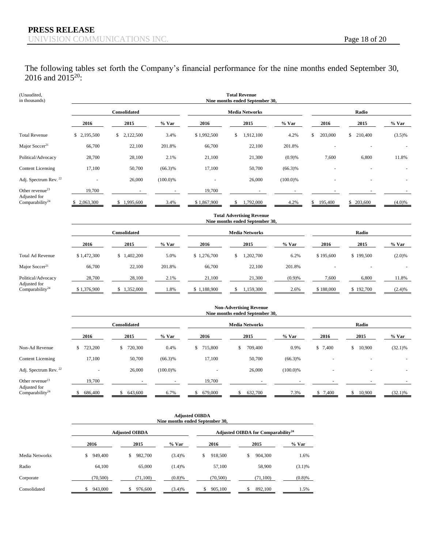The following tables set forth the Company's financial performance for the nine months ended September 30, 2016 and  $2015^{20}$ :

| (Unaudited,<br>in thousands)                |                 | <b>Total Revenue</b><br>Nine months ended September 30, |            |                |                                  |             |                          |               |           |  |  |  |  |
|---------------------------------------------|-----------------|---------------------------------------------------------|------------|----------------|----------------------------------|-------------|--------------------------|---------------|-----------|--|--|--|--|
|                                             |                 | Consolidated                                            |            |                | <b>Media Networks</b>            |             |                          | Radio         |           |  |  |  |  |
|                                             | 2016            | 2015                                                    | $%$ Var    | 2016           | 2015                             | $%$ Var     | 2016                     | 2015          | $%$ Var   |  |  |  |  |
| <b>Total Revenue</b>                        | \$ 2,195,500    | \$2,122,500                                             | 3.4%       | \$1,992,500    | \$<br>1,912,100                  | 4.2%        | 203,000<br>\$            | \$<br>210,400 | $(3.5)\%$ |  |  |  |  |
| Major Soccer <sup>21</sup>                  | 66,700          | 22,100                                                  | 201.8%     | 66,700         | 22,100                           | 201.8%      |                          |               |           |  |  |  |  |
| Political/Advocacy                          | 28,700          | 28,100                                                  | 2.1%       | 21,100         | 21,300                           | (0.9)%      | 7,600                    | 6,800         | 11.8%     |  |  |  |  |
| <b>Content Licensing</b>                    | 17,100          | 50,700                                                  | $(66.3)\%$ | 17,100         | 50,700                           | $(66.3)\%$  |                          |               |           |  |  |  |  |
| Adj. Spectrum Rev. <sup>22</sup>            | $\overline{a}$  | 26,000                                                  | (100.0)%   | $\overline{a}$ | 26,000                           | $(100.0)\%$ | $\overline{\phantom{a}}$ |               |           |  |  |  |  |
| Other revenue <sup>23</sup>                 | 19,700          |                                                         |            | 19,700         |                                  |             |                          |               |           |  |  |  |  |
| Adjusted for<br>Comparability <sup>24</sup> | 2,063,300<br>S. | 1,995,600<br>S.                                         | 3.4%       | \$1,867,900    | ,792,000<br>\$                   | 4.2%        | 195,400<br>Ъ.            | \$203,600     | $(4.0)\%$ |  |  |  |  |
|                                             |                 |                                                         |            |                | <b>Total Advertising Revenue</b> |             |                          |               |           |  |  |  |  |

|                                             |              | Nine months ended September 30, |         |             |                       |         |           |               |         |  |  |
|---------------------------------------------|--------------|---------------------------------|---------|-------------|-----------------------|---------|-----------|---------------|---------|--|--|
|                                             | Consolidated |                                 |         |             | <b>Media Networks</b> | Radio   |           |               |         |  |  |
|                                             | 2016         | 2015                            | $%$ Var | 2016        | 2015                  | $%$ Var | 2016      | 2015          | $%$ Var |  |  |
| <b>Total Ad Revenue</b>                     | \$1,472,300  | ,402,200<br>S <sub>1</sub>      | 5.0%    | \$1,276,700 | ,202,700<br>\$        | 6.2%    | \$195,600 | \$199,500     | (2.0)%  |  |  |
| Major Soccer <sup>21</sup>                  | 66,700       | 22,100                          | 201.8%  | 66,700      | 22,100                | 201.8%  |           |               |         |  |  |
| Political/Advocacy                          | 28,700       | 28,100                          | 2.1%    | 21,100      | 21,300                | (0.9)%  | 7,600     | 6,800         | 11.8%   |  |  |
| Adjusted for<br>Comparability <sup>24</sup> | \$1,376,900  | 1,352,000                       | .8%     | 1,188,900   | 1,159,300             | 2.6%    | \$188,000 | 192,700<br>S. | (2.4)%  |  |  |

|                                             | <b>Non-Advertising Revenue</b><br>Nine months ended September 30, |               |             |                          |                       |             |             |                |            |  |
|---------------------------------------------|-------------------------------------------------------------------|---------------|-------------|--------------------------|-----------------------|-------------|-------------|----------------|------------|--|
|                                             | <b>Consolidated</b>                                               |               |             |                          | <b>Media Networks</b> | Radio       |             |                |            |  |
|                                             | 2016                                                              | 2015          | $%$ Var     | 2016                     | 2015                  | $%$ Var     | 2016        | 2015           | $%$ Var    |  |
| Non-Ad Revenue                              | 723,200<br>S                                                      | 720,300<br>\$ | 0.4%        | 715,800<br>\$            | 709,400<br>ъ          | 0.9%        | \$7,400     | 10,900<br>\$   | $(32.1)\%$ |  |
| <b>Content Licensing</b>                    | 17,100                                                            | 50,700        | $(66.3)\%$  | 17,100                   | 50,700                | $(66.3)\%$  | ٠           |                |            |  |
| Adj. Spectrum Rev. <sup>22</sup>            | $\sim$                                                            | 26,000        | $(100.0)\%$ | $\overline{\phantom{a}}$ | 26,000                | $(100.0)\%$ |             | $\sim$         |            |  |
| Other revenue <sup>23</sup>                 | 19,700                                                            |               |             | 19,700                   |                       |             |             |                |            |  |
| Adjusted for<br>Comparability <sup>24</sup> | 686,400                                                           | 643,600       | 6.7%        | 679,000                  | 632,700               | 7.3%        | 7,400<br>S. | 10,900<br>- 75 | $(32.1)\%$ |  |

|                |               | <b>Adjusted OIBDA</b><br>Nine months ended September 30, |         |                                                |               |         |  |  |  |  |  |
|----------------|---------------|----------------------------------------------------------|---------|------------------------------------------------|---------------|---------|--|--|--|--|--|
|                |               | <b>Adjusted OIBDA</b>                                    |         | Adjusted OIBDA for Comparability <sup>24</sup> |               |         |  |  |  |  |  |
|                | 2016          | 2015                                                     | $%$ Var | 2016                                           | 2015          | $%$ Var |  |  |  |  |  |
| Media Networks | 949,400<br>\$ | 982,700<br>\$                                            | (3.4)%  | 918,500                                        | 904,300<br>\$ | 1.6%    |  |  |  |  |  |
| Radio          | 64,100        | 65,000                                                   | (1.4)%  | 57,100                                         | 58,900        | (3.1)%  |  |  |  |  |  |
| Corporate      | (70, 500)     | (71, 100)                                                | (0.8)%  | (70, 500)                                      | (71,100)      | (0.8)%  |  |  |  |  |  |
| Consolidated   | 943,000<br>S. | 976,600                                                  | (3.4)%  | 905,100<br>\$                                  | 892,100<br>\$ | 1.5%    |  |  |  |  |  |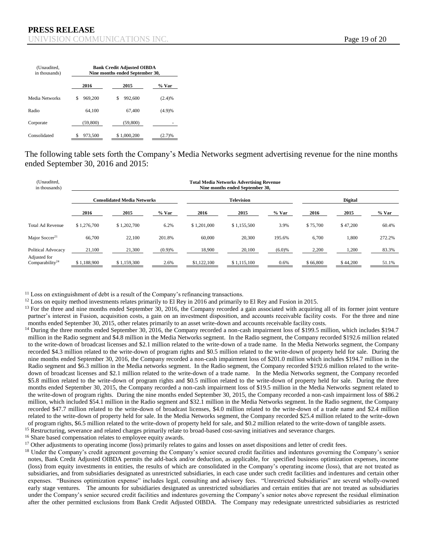| (Unaudited,<br>in thousands) | <b>Bank Credit Adjusted OIBDA</b><br>Nine months ended September 30, |               |        |  |  |  |  |  |
|------------------------------|----------------------------------------------------------------------|---------------|--------|--|--|--|--|--|
|                              | 2016                                                                 | 2015          | % Var  |  |  |  |  |  |
| Media Networks               | 969,200<br>\$                                                        | 992,600<br>\$ | (2.4)% |  |  |  |  |  |
| Radio                        | 64.100                                                               | 67,400        | (4.9)% |  |  |  |  |  |
| Corporate                    | (59,800)                                                             | (59,800)      |        |  |  |  |  |  |
| Consolidated                 | 973,500                                                              | \$1,000,200   | (2.7)% |  |  |  |  |  |

The following table sets forth the Company's Media Networks segment advertising revenue for the nine months ended September 30, 2016 and 2015:

| (Unaudited,<br>in thousands)                |                                    | <b>Total Media Networks Advertising Revenue</b><br>Nine months ended September 30, |         |                   |             |           |                |          |         |  |  |  |
|---------------------------------------------|------------------------------------|------------------------------------------------------------------------------------|---------|-------------------|-------------|-----------|----------------|----------|---------|--|--|--|
|                                             | <b>Consolidated Media Networks</b> |                                                                                    |         | <b>Television</b> |             |           | <b>Digital</b> |          |         |  |  |  |
|                                             | 2016                               | 2015                                                                               | $%$ Var | 2016              | 2015        | $%$ Var   | 2016           | 2015     | $%$ Var |  |  |  |
| <b>Total Ad Revenue</b>                     | \$1,276,700                        | \$1,202,700                                                                        | 6.2%    | \$1,201,000       | \$1,155,500 | 3.9%      | \$75,700       | \$47,200 | 60.4%   |  |  |  |
| Major Soccer <sup>21</sup>                  | 66,700                             | 22,100                                                                             | 201.8%  | 60,000            | 20,300      | 195.6%    | 6.700          | 1,800    | 272.2%  |  |  |  |
| Political Advocacy                          | 21,100                             | 21,300                                                                             | (0.9)%  | 18,900            | 20,100      | $(6.0)\%$ | 2,200          | 1,200    | 83.3%   |  |  |  |
| Adjusted for<br>Comparability <sup>24</sup> | \$1,188,900                        | \$1,159,300                                                                        | 2.6%    | \$1,122,100       | \$1,115,100 | 0.6%      | \$66,800       | \$44,200 | 51.1%   |  |  |  |

 $11$  Loss on extinguishment of debt is a result of the Company's refinancing transactions.

 $12$  Loss on equity method investments relates primarily to El Rey in 2016 and primarily to El Rey and Fusion in 2015.

 $13$  For the three and nine months ended September 30, 2016, the Company recorded a gain associated with acquiring all of its former joint venture partner's interest in Fusion, acquisition costs, a gain on an investment disposition, and accounts receivable facility costs. For the three and nine months ended September 30, 2015, other relates primarily to an asset write-down and accounts receivable facility costs.

<sup>14</sup> During the three months ended September 30, 2016, the Company recorded a non-cash impairment loss of \$199.5 million, which includes \$194.7 million in the Radio segment and \$4.8 million in the Media Networks segment. In the Radio segment, the Company recorded \$192.6 million related to the write-down of broadcast licenses and \$2.1 million related to the write-down of a trade name. In the Media Networks segment, the Company recorded \$4.3 million related to the write-down of program rights and \$0.5 million related to the write-down of property held for sale. During the nine months ended September 30, 2016, the Company recorded a non-cash impairment loss of \$201.0 million which includes \$194.7 million in the Radio segment and \$6.3 million in the Media networks segment. In the Radio segment, the Company recorded \$192.6 million related to the writedown of broadcast licenses and \$2.1 million related to the write-down of a trade name. In the Media Networks segment, the Company recorded \$5.8 million related to the write-down of program rights and \$0.5 million related to the write-down of property held for sale. During the three months ended September 30, 2015, the Company recorded a non-cash impairment loss of \$19.5 million in the Media Networks segment related to the write-down of program rights. During the nine months ended September 30, 2015, the Company recorded a non-cash impairment loss of \$86.2 million, which included \$54.1 million in the Radio segment and \$32.1 million in the Media Networks segment. In the Radio segment, the Company recorded \$47.7 million related to the write-down of broadcast licenses, \$4.0 million related to the write-down of a trade name and \$2.4 million related to the write-down of property held for sale. In the Media Networks segment, the Company recorded \$25.4 million related to the write-down of program rights, \$6.5 million related to the write-down of property held for sale, and \$0.2 million related to the write-down of tangible assets. <sup>15</sup> Restructuring, severance and related charges primarily relate to broad-based cost-saving initiatives and severance charges.

<sup>16</sup> Share based compensation relates to employee equity awards.

<sup>17</sup> Other adjustments to operating income (loss) primarily relates to gains and losses on asset dispositions and letter of credit fees.

<sup>18</sup> Under the Company's credit agreement governing the Company's senior secured credit facilities and indentures governing the Company's senior notes, Bank Credit Adjusted OIBDA permits the add-back and/or deduction, as applicable, for specified business optimization expenses, income (loss) from equity investments in entities, the results of which are consolidated in the Company's operating income (loss), that are not treated as subsidiaries, and from subsidiaries designated as unrestricted subsidiaries, in each case under such credit facilities and indentures and certain other expenses. "Business optimization expense" includes legal, consulting and advisory fees. "Unrestricted Subsidiaries" are several wholly-owned early stage ventures. The amounts for subsidiaries designated as unrestricted subsidiaries and certain entities that are not treated as subsidiaries under the Company's senior secured credit facilities and indentures governing the Company's senior notes above represent the residual elimination after the other permitted exclusions from Bank Credit Adjusted OIBDA. The Company may redesignate unrestricted subsidiaries as restricted